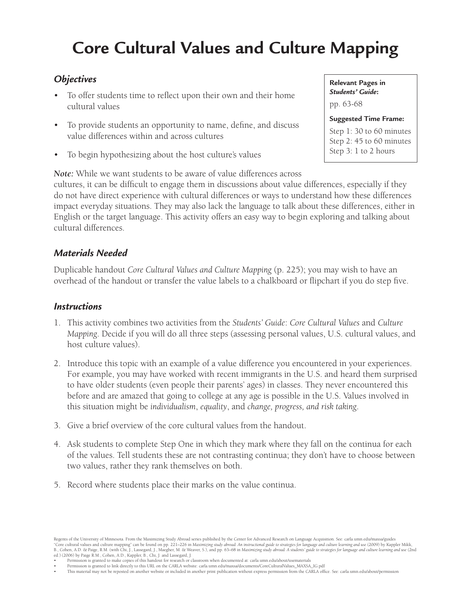# **Core Cultural Values and Culture Mapping**

### *Objectives*

- To offer students time to reflect upon their own and their home cultural values
- To provide students an opportunity to name, define, and discuss value differences within and across cultures
- To begin hypothesizing about the host culture's values

**Relevant Pages in**  *Students' Guide***:**  pp. 63-68

#### **Suggested Time Frame:**

Step 1: 30 to 60 minutes Step 2: 45 to 60 minutes Step 3: 1 to 2 hours

*Note:* While we want students to be aware of value differences across

cultures, it can be difficult to engage them in discussions about value differences, especially if they do not have direct experience with cultural differences or ways to understand how these differences impact everyday situations. They may also lack the language to talk about these differences, either in English or the target language. This activity offers an easy way to begin exploring and talking about cultural differences.

### *Materials Needed*

Duplicable handout *Core Cultural Values and Culture Mapping* (p. 225); you may wish to have an overhead of the handout or transfer the value labels to a chalkboard or flipchart if you do step five.

#### *Instructions*

- 1. This activity combines two activities from the *Students' Guide*: *Core Cultural Values* and *Culture Mapping*. Decide if you will do all three steps (assessing personal values, U.S. cultural values, and host culture values).
- 2. Introduce this topic with an example of a value difference you encountered in your experiences. For example, you may have worked with recent immigrants in the U.S. and heard them surprised to have older students (even people their parents' ages) in classes. They never encountered this before and are amazed that going to college at any age is possible in the U.S. Values involved in this situation might be *individualism*, *equality*, and *change, progress, and risk taking*.
- 3. Give a brief overview of the core cultural values from the handout.
- 4. Ask students to complete Step One in which they mark where they fall on the continua for each of the values. Tell students these are not contrasting continua; they don't have to choose between two values, rather they rank themselves on both.
- 5. Record where students place their marks on the value continua.

Regents of the University of Minnesota. From the Maximizing Study Abroad series published by the Center for Advanced Research on Language Acquisition. See: carla.umn.edu/maxsa/guides "Core cultural values and culture mapping" can be found on pp. 221–226 in Maximizing study abroad: An instructional guide to strategies for language and culture learning and use (2009) by Kappler Mikk,<br>B., Cohen, A.D. & Pa ed.) (2006) by Paige R.M., Cohen, A.D., Kappler, B., Chi, J. and Lassegard, J.

Permission is granted to make copies of this handout for research or classroom when documented at: carla.umn.edu/about/usematerials

• Permission is granted to link directly to this URL on the CARLA website: carla.umn.edu/maxsa/documents/CoreCulturalValues\_MAXSA\_IG.pdf • This material may not be reposted on another website or included in another print publication without express permission from the CARLA office. See: carla.umn.edu/about/permission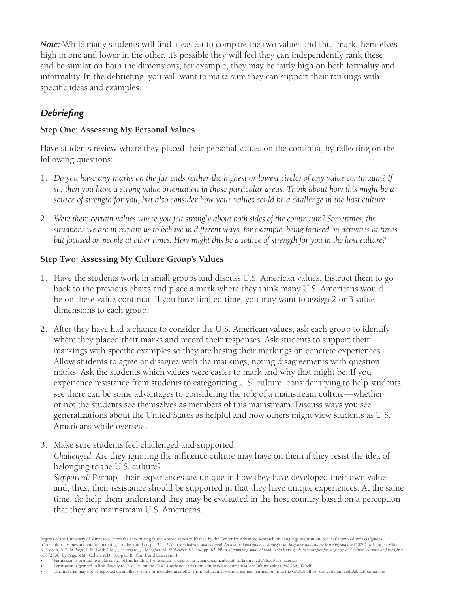*Note:* While many students will find it easiest to compare the two values and thus mark themselves high in one and lower in the other, it's possible they will feel they can independently rank these and be similar on both the dimensions; for example, they may be fairly high on both formality and informality. In the debriefing, you will want to make sure they can support their rankings with specific ideas and examples.

## *Debriefing*

#### **Step One: Assessing My Personal Values**

Have students review where they placed their personal values on the continua, by reflecting on the following questions:

- 1. Do you have any marks on the far ends (either the highest or lowest circle) of any value continuum? If *so, then you have a strong value orientation in those particular areas. Think about how this might be a source of strength for you, but also consider how your values could be a challenge in the host culture.*
- 2. Were there certain values where you felt strongly about both sides of the continuum? Sometimes, the *situations we are in require us to behave in different ways, for example, being focused on activities at times but focused on people at other times. How might this be a source of strength for you in the host culture?*

#### **Step Two: Assessing My Culture Group's Values**

- 1. Have the students work in small groups and discuss U.S. American values. Instruct them to go back to the previous charts and place a mark where they think many U.S. Americans would be on these value continua. If you have limited time, you may want to assign 2 or 3 value dimensions to each group.
- 2. After they have had a chance to consider the U.S. American values, ask each group to identify where they placed their marks and record their responses. Ask students to support their markings with specific examples so they are basing their markings on concrete experiences. Allow students to agree or disagree with the markings, noting disagreements with question marks. Ask the students which values were easier to mark and why that might be. If you experience resistance from students to categorizing U.S. culture, consider trying to help students see there can be some advantages to considering the role of a mainstream culture—whether or not the students see themselves as members of this mainstream. Discuss ways you see generalizations about the United States as helpful and how others might view students as U.S. Americans while overseas.
- 3. Make sure students feel challenged and supported:

*Challenged:* Are they ignoring the influence culture may have on them if they resist the idea of belonging to the U.S. culture?

*Supported:* Perhaps their experiences are unique in how they have developed their own values and, thus, their resistance should be supported in that they have unique experiences. At the same time, do help them understand they may be evaluated in the host country based on a perception that they are mainstream U.S. Americans.

- Permission is granted to make copies of this handout for research or classroom when documented at: carla.umn.edu/about/usematerials
- • Permission is granted to link directly to this URL on the CARLA website: carla.umn.edu/maxsa/documents/CoreCulturalValues\_MAXSA\_IG.pdf • This material may not be reposted on another website or included in another print publication without express permission from the CARLA office. See: carla.umn.edu/about/permission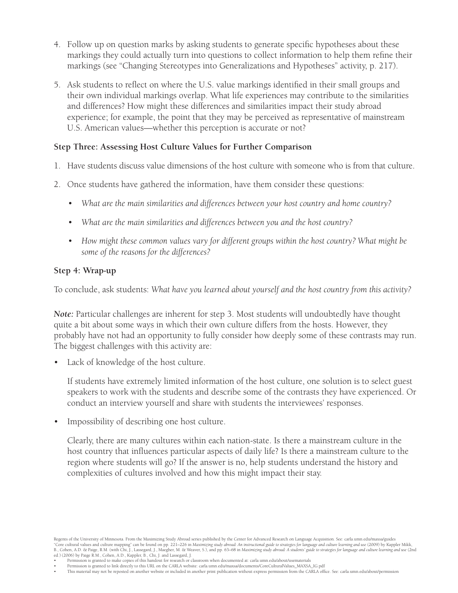- 4. Follow up on question marks by asking students to generate specific hypotheses about these markings they could actually turn into questions to collect information to help them refine their markings (see "Changing Stereotypes into Generalizations and Hypotheses" activity, p. 217).
- 5. Ask students to reflect on where the U.S. value markings identified in their small groups and their own individual markings overlap. What life experiences may contribute to the similarities and differences? How might these differences and similarities impact their study abroad experience; for example, the point that they may be perceived as representative of mainstream U.S. American values—whether this perception is accurate or not?

#### **Step Three: Assessing Host Culture Values for Further Comparison**

- 1. Have students discuss value dimensions of the host culture with someone who is from that culture.
- 2. Once students have gathered the information, have them consider these questions:
	- • *What are the main similarities and differences between your host country and home country?*
	- What are the main similarities and differences between you and the host country?
	- • *How might these common values vary for different groups within the host country? What might be some of the reasons for the differences?*

#### **Step 4: Wrap-up**

To conclude, ask students: *What have you learned about yourself and the host country from this activity?*

*Note:* Particular challenges are inherent for step 3. Most students will undoubtedly have thought quite a bit about some ways in which their own culture differs from the hosts. However, they probably have not had an opportunity to fully consider how deeply some of these contrasts may run. The biggest challenges with this activity are:

• Lack of knowledge of the host culture.

If students have extremely limited information of the host culture, one solution is to select guest speakers to work with the students and describe some of the contrasts they have experienced. Or conduct an interview yourself and share with students the interviewees' responses.

Impossibility of describing one host culture.

Clearly, there are many cultures within each nation-state. Is there a mainstream culture in the host country that influences particular aspects of daily life? Is there a mainstream culture to the region where students will go? If the answer is no, help students understand the history and complexities of cultures involved and how this might impact their stay.

Regents of the University of Minnesota. From the Maximizing Study Abroad series published by the Center for Advanced Research on Language Acquisition. See: carla.umn.edu/maxsa/guides<br>"Core cultural values and culture mappi ed.) (2006) by Paige R.M., Cohen, A.D., Kappler, B., Chi, J. and Lassegard, J.

Permission is granted to make copies of this handout for research or classroom when documented at: carla.umn.edu/about/usematerials

• Permission is granted to link directly to this URL on the CARLA website: carla.umn.edu/maxsa/documents/CoreCulturalValues\_MAXSA\_IG.pdf • This material may not be reposted on another website or included in another print publication without express permission from the CARLA office. See: carla.umn.edu/about/permission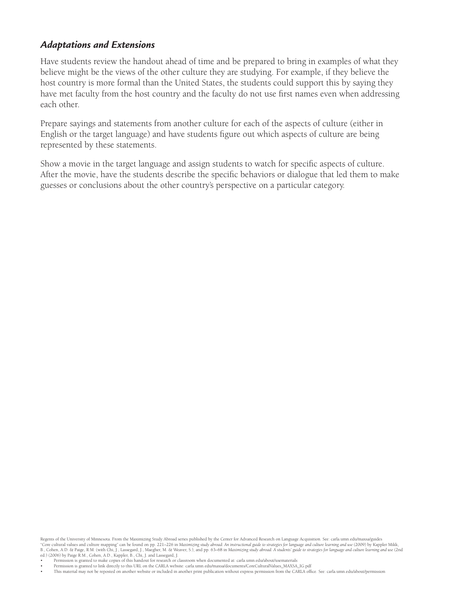### *Adaptations and Extensions*

Have students review the handout ahead of time and be prepared to bring in examples of what they believe might be the views of the other culture they are studying. For example, if they believe the host country is more formal than the United States, the students could support this by saying they have met faculty from the host country and the faculty do not use first names even when addressing each other.

Prepare sayings and statements from another culture for each of the aspects of culture (either in English or the target language) and have students figure out which aspects of culture are being represented by these statements.

Show a movie in the target language and assign students to watch for specific aspects of culture. After the movie, have the students describe the specific behaviors or dialogue that led them to make guesses or conclusions about the other country's perspective on a particular category.

Permission is granted to make copies of this handout for research or classroom when documented at: carla.umn.edu/about/usematerials

<sup>•</sup>  Permission is granted to link directly to this URL on the CARLA website: carla.umn.edu/maxsa/documents/CoreCulturalValues\_MAXSA\_IG.pdf • This material may not be reposted on another website or included in another print publication without express permission from the CARLA office. See: carla.umn.edu/about/permission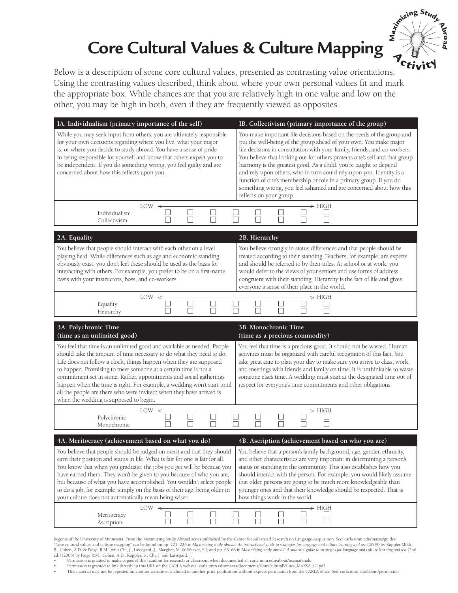# **Core Cultural Values & Culture Mapping**



Below is a description of some core cultural values, presented as contrasting value orientations. Using the contrasting values described, think about where your own personal values fit and mark the appropriate box. While chances are that you are relatively high in one value and low on the other, you may be high in both, even if they are frequently viewed as opposites.

| IA. Individualism (primary importance of the self)                                                                                                                                                                                                                                                                                                                                                                                                                                                                                                                             | IB. Collectivism (primary importance of the group)                                                                                                                                                                                                                                                                                                                                                                                                                                                                                                                                                                        |
|--------------------------------------------------------------------------------------------------------------------------------------------------------------------------------------------------------------------------------------------------------------------------------------------------------------------------------------------------------------------------------------------------------------------------------------------------------------------------------------------------------------------------------------------------------------------------------|---------------------------------------------------------------------------------------------------------------------------------------------------------------------------------------------------------------------------------------------------------------------------------------------------------------------------------------------------------------------------------------------------------------------------------------------------------------------------------------------------------------------------------------------------------------------------------------------------------------------------|
| While you may seek input from others, you are ultimately responsible<br>for your own decisions regarding where you live, what your major<br>is, or where you decide to study abroad. You have a sense of pride<br>in being responsible for yourself and know that others expect you to<br>be independent. If you do something wrong, you feel guilty and are<br>concerned about how this reflects upon you.                                                                                                                                                                    | You make important life decisions based on the needs of the group and<br>put the well-being of the group ahead of your own. You make major<br>life decisions in consultation with your family, friends, and co-workers.<br>You believe that looking out for others protects one's self and that group<br>harmony is the greatest good. As a child, you're taught to depend<br>and rely upon others, who in turn could rely upon you. Identity is a<br>function of one's membership or role in a primary group. If you do<br>something wrong, you feel ashamed and are concerned about how this<br>reflects on your group. |
| $LOW \leq$<br>Individualism<br>Collectivism                                                                                                                                                                                                                                                                                                                                                                                                                                                                                                                                    | $\Rightarrow$ HIGH<br>$\Box$                                                                                                                                                                                                                                                                                                                                                                                                                                                                                                                                                                                              |
|                                                                                                                                                                                                                                                                                                                                                                                                                                                                                                                                                                                |                                                                                                                                                                                                                                                                                                                                                                                                                                                                                                                                                                                                                           |
| 2A. Equality<br>You believe that people should interact with each other on a level<br>playing field. While differences such as age and economic standing<br>obviously exist, you don't feel these should be used as the basis for<br>interacting with others. For example, you prefer to be on a first-name<br>basis with your instructors, boss, and co-workers.                                                                                                                                                                                                              | 2B. Hierarchy<br>You believe strongly in status differences and that people should be<br>treated according to their standing. Teachers, for example, are experts<br>and should be referred to by their titles. At school or at work, you<br>would defer to the views of your seniors and use forms of address<br>congruent with their standing. Hierarchy is the fact of life and gives<br>everyone a sense of their place in the world.                                                                                                                                                                                  |
| $LOW \leq$<br>$\Box$<br>Equality<br>П<br>П<br>Heirarchy                                                                                                                                                                                                                                                                                                                                                                                                                                                                                                                        | $\Rightarrow$ HIGH<br>$\Box$<br>П<br>П                                                                                                                                                                                                                                                                                                                                                                                                                                                                                                                                                                                    |
|                                                                                                                                                                                                                                                                                                                                                                                                                                                                                                                                                                                |                                                                                                                                                                                                                                                                                                                                                                                                                                                                                                                                                                                                                           |
| 3A. Polychronic Time<br>(time as an unlimited good)                                                                                                                                                                                                                                                                                                                                                                                                                                                                                                                            | 3B. Monochronic Time<br>(time as a precious commodity)                                                                                                                                                                                                                                                                                                                                                                                                                                                                                                                                                                    |
| You feel that time is an unlimited good and available as needed. People<br>should take the amount of time necessary to do what they need to do.<br>Life does not follow a clock; things happen when they are supposed<br>to happen. Promising to meet someone at a certain time is not a<br>commitment set in stone. Rather, appointments and social gatherings<br>happen when the time is right. For example, a wedding won't start until<br>all the people are there who were invited; when they have arrived is                                                             | You feel that time is a precious good. It should not be wasted. Human<br>activities must be organized with careful recognition of this fact. You<br>take great care to plan your day to make sure you arrive to class, work,<br>and meetings with friends and family on time. It is unthinkable to waste<br>someone else's time. A wedding must start at the designated time out of<br>respect for everyone's time commitments and other obligations.                                                                                                                                                                     |
| when the wedding is supposed to begin.<br>$LOW \leq$                                                                                                                                                                                                                                                                                                                                                                                                                                                                                                                           | → HIGH                                                                                                                                                                                                                                                                                                                                                                                                                                                                                                                                                                                                                    |
| $\Box$<br>$\Box$<br>$\sqcup$<br>□<br>Polychronic<br>П<br>П<br>П<br>Monochronic                                                                                                                                                                                                                                                                                                                                                                                                                                                                                                 | $\Box$<br>$\Box$<br>П<br>П                                                                                                                                                                                                                                                                                                                                                                                                                                                                                                                                                                                                |
|                                                                                                                                                                                                                                                                                                                                                                                                                                                                                                                                                                                |                                                                                                                                                                                                                                                                                                                                                                                                                                                                                                                                                                                                                           |
| 4A. Meritocracy (achievement based on what you do)<br>You believe that people should be judged on merit and that they should<br>earn their position and status in life. What is fair for one is fair for all.<br>You know that when you graduate, the jobs you get will be because you<br>have earned them. They won't be given to you because of who you are,<br>but because of what you have accomplished. You wouldn't select people<br>to do a job, for example, simply on the basis of their age; being older in<br>your culture does not automatically mean being wiser. | 4B. Ascription (achievement based on who you are)<br>You believe that a person's family background, age, gender, ethnicity,<br>and other characteristics are very important in determining a person's<br>status or standing in the community. This also establishes how you<br>should interact with the person. For example, you would likely assume<br>that older persons are going to be much more knowledgeable than<br>younger ones and that their knowledge should be respected. That is<br>how things work in the world.                                                                                            |

Regents of the University of Minnesota. From the Maximizing Study Abroad series published by the Center for Advanced Research on Language Acquisition. See: carla.umn.edu/maxsa/guides<br>"Core cultural values and culture mappi ed.) (2006) by Paige R.M., Cohen, A.D., Kappler, B., Chi, J. and Lassegard, J.

- Permission is granted to make copies of this handout for research or classroom when documented at: carla.umn.edu/about/usematerials
- • Permission is granted to link directly to this URL on the CARLA website: carla.umn.edu/maxsa/documents/CoreCulturalValues\_MAXSA\_IG.pdf • This material may not be reposted on another website or included in another print publication without express permission from the CARLA office. See: carla.umn.edu/about/permission